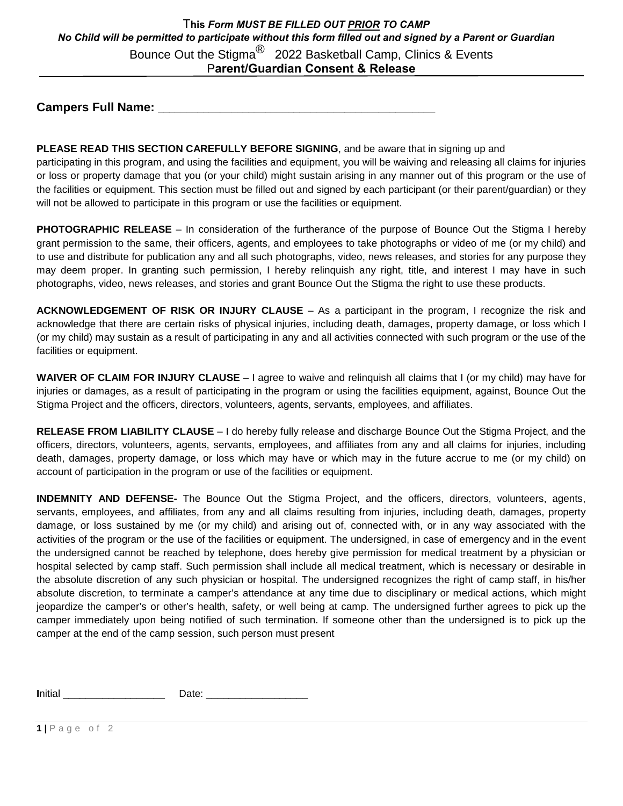## Bounce Out the Stigma<sup>®</sup> 2022 Basketball Camp, Clinics & Events P**arent/Guardian Consent & Release**  T**his** *Form MUST BE FILLED OUT PRIOR TO CAMP No Child will be permitted to participate without this form filled out and signed by a Parent or Guardian*

**Campers Full Name: \_\_\_\_\_\_\_\_\_\_\_\_\_\_\_\_\_\_\_\_\_\_\_\_\_\_\_\_\_\_\_\_\_\_\_\_\_\_\_\_\_\_\_\_\_\_\_\_\_**

## **PLEASE READ THIS SECTION CAREFULLY BEFORE SIGNING**, and be aware that in signing up and

participating in this program, and using the facilities and equipment, you will be waiving and releasing all claims for injuries or loss or property damage that you (or your child) might sustain arising in any manner out of this program or the use of the facilities or equipment. This section must be filled out and signed by each participant (or their parent/guardian) or they will not be allowed to participate in this program or use the facilities or equipment.

**PHOTOGRAPHIC RELEASE** – In consideration of the furtherance of the purpose of Bounce Out the Stigma I hereby grant permission to the same, their officers, agents, and employees to take photographs or video of me (or my child) and to use and distribute for publication any and all such photographs, video, news releases, and stories for any purpose they may deem proper. In granting such permission, I hereby relinquish any right, title, and interest I may have in such photographs, video, news releases, and stories and grant Bounce Out the Stigma the right to use these products.

**ACKNOWLEDGEMENT OF RISK OR INJURY CLAUSE** – As a participant in the program, I recognize the risk and acknowledge that there are certain risks of physical injuries, including death, damages, property damage, or loss which I (or my child) may sustain as a result of participating in any and all activities connected with such program or the use of the facilities or equipment.

**WAIVER OF CLAIM FOR INJURY CLAUSE** – I agree to waive and relinquish all claims that I (or my child) may have for injuries or damages, as a result of participating in the program or using the facilities equipment, against, Bounce Out the Stigma Project and the officers, directors, volunteers, agents, servants, employees, and affiliates.

**RELEASE FROM LIABILITY CLAUSE** – I do hereby fully release and discharge Bounce Out the Stigma Project, and the officers, directors, volunteers, agents, servants, employees, and affiliates from any and all claims for injuries, including death, damages, property damage, or loss which may have or which may in the future accrue to me (or my child) on account of participation in the program or use of the facilities or equipment.

**INDEMNITY AND DEFENSE-** The Bounce Out the Stigma Project, and the officers, directors, volunteers, agents, servants, employees, and affiliates, from any and all claims resulting from injuries, including death, damages, property damage, or loss sustained by me (or my child) and arising out of, connected with, or in any way associated with the activities of the program or the use of the facilities or equipment. The undersigned, in case of emergency and in the event the undersigned cannot be reached by telephone, does hereby give permission for medical treatment by a physician or hospital selected by camp staff. Such permission shall include all medical treatment, which is necessary or desirable in the absolute discretion of any such physician or hospital. The undersigned recognizes the right of camp staff, in his/her absolute discretion, to terminate a camper's attendance at any time due to disciplinary or medical actions, which might jeopardize the camper's or other's health, safety, or well being at camp. The undersigned further agrees to pick up the camper immediately upon being notified of such termination. If someone other than the undersigned is to pick up the camper at the end of the camp session, such person must present

**I**nitial \_\_\_\_\_\_\_\_\_\_\_\_\_\_\_\_\_\_ Date: \_\_\_\_\_\_\_\_\_\_\_\_\_\_\_\_\_\_